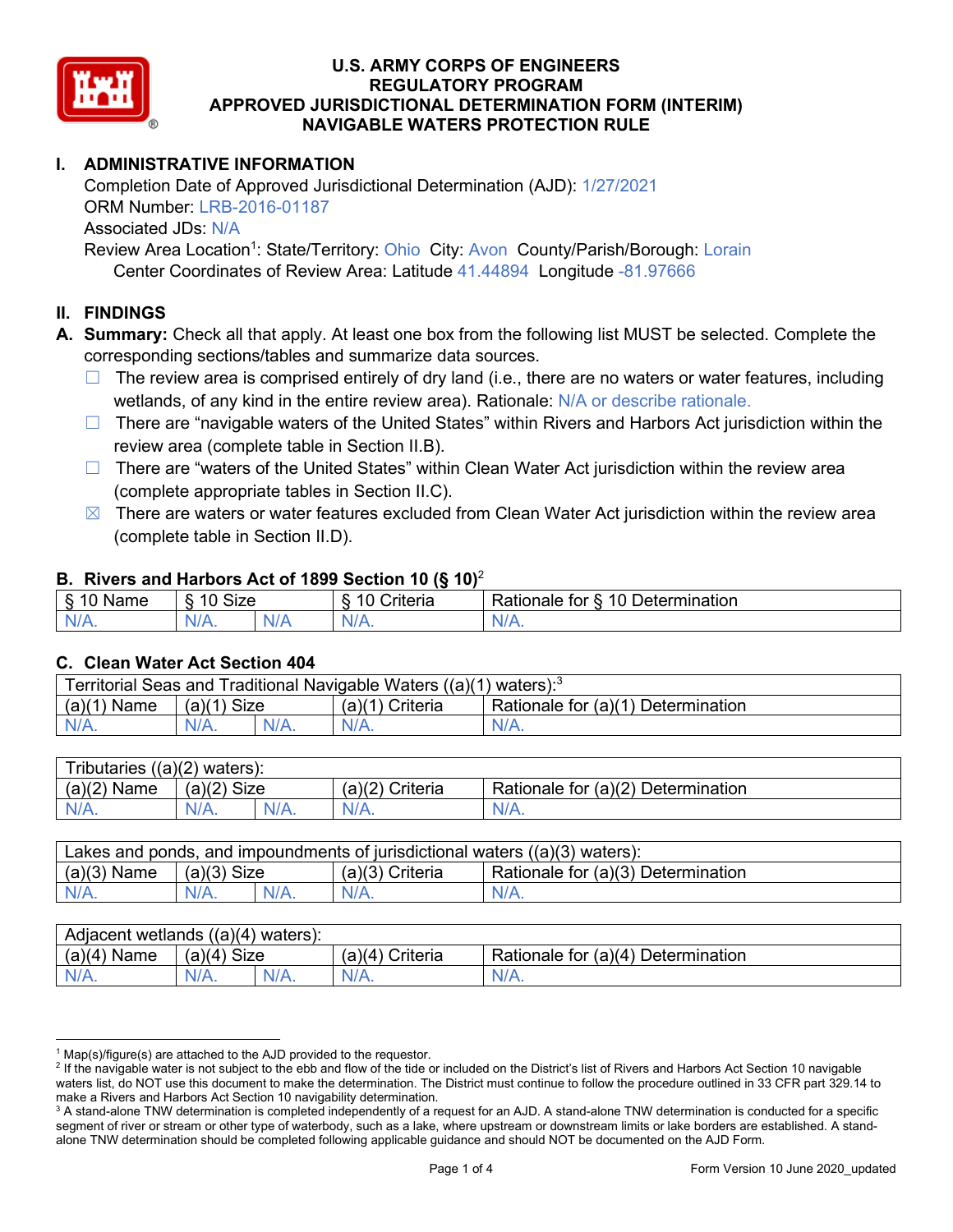

# **I. ADMINISTRATIVE INFORMATION**

Completion Date of Approved Jurisdictional Determination (AJD): 1/27/2021 ORM Number: LRB-2016-01187 Associated JDs: N/A Review Area Location<sup>1</sup>: State/Territory: Ohio City: Avon County/Parish/Borough: Lorain

Center Coordinates of Review Area: Latitude 41.44894 Longitude -81.97666

## **II. FINDINGS**

**A. Summary:** Check all that apply. At least one box from the following list MUST be selected. Complete the corresponding sections/tables and summarize data sources.

- $\Box$  The review area is comprised entirely of dry land (i.e., there are no waters or water features, including wetlands, of any kind in the entire review area). Rationale: N/A or describe rationale.
- $\Box$  There are "navigable waters of the United States" within Rivers and Harbors Act jurisdiction within the review area (complete table in Section II.B).
- $\Box$  There are "waters of the United States" within Clean Water Act jurisdiction within the review area (complete appropriate tables in Section II.C).
- $\boxtimes$  There are waters or water features excluded from Clean Water Act jurisdiction within the review area (complete table in Section II.D).

#### **B. Rivers and Harbors Act of 1899 Section 10 (§ 10)**<sup>2</sup>

| w                            |                        |     |                |                                                                                                   |  |  |  |  |
|------------------------------|------------------------|-----|----------------|---------------------------------------------------------------------------------------------------|--|--|--|--|
| R<br>.<br>'vallie'<br>υ<br>ູ | Size<br>$\overline{A}$ |     | 10<br>`rıterıa | $\overline{\phantom{a}}$<br>10 <sup>1</sup><br>Jetermination<br>$-1 - 1 - 1$<br>tor<br>ationale a |  |  |  |  |
| N/L                          | N/A.                   | NIA | N/L            | 11 I N.                                                                                           |  |  |  |  |

#### **C. Clean Water Act Section 404**

| Territorial Seas and Traditional Navigable Waters ((a)(1)<br>waters): $3$ |                |  |                   |                                    |  |  |
|---------------------------------------------------------------------------|----------------|--|-------------------|------------------------------------|--|--|
| (a)(1)<br>Name                                                            | Size<br>(a)(1) |  | $(a)(1)$ Criteria | Rationale for (a)(1) Determination |  |  |
|                                                                           | N/A.           |  | $N/A$ .           | $N/A$ .                            |  |  |

| Tributaries<br>$((a)(2)$ waters): |                       |         |                    |                                    |  |  |  |
|-----------------------------------|-----------------------|---------|--------------------|------------------------------------|--|--|--|
| (a)(2)<br>Name                    | (a)(2)<br><b>Size</b> |         | (a)(2)<br>Criteria | Rationale for (a)(2) Determination |  |  |  |
| $N/A$ .                           | N/A.                  | $N/A$ . | $N/A$ .            | N/A.                               |  |  |  |

| Lakes and ponds, and impoundments of jurisdictional waters $((a)(3)$ waters): |               |  |                   |                                    |  |  |
|-------------------------------------------------------------------------------|---------------|--|-------------------|------------------------------------|--|--|
| $(a)(3)$ Name                                                                 | $(a)(3)$ Size |  | $(a)(3)$ Criteria | Rationale for (a)(3) Determination |  |  |
| $N/A$ .                                                                       | $N/A$ .       |  | $N/A$ .           | $N/A$ .                            |  |  |

| Adjacent wetlands<br>$((a)(4)$ waters): |                       |         |                   |                                    |  |  |  |
|-----------------------------------------|-----------------------|---------|-------------------|------------------------------------|--|--|--|
| (a)(4)<br>Name                          | (a)(4)<br><b>Size</b> |         | (a)(4<br>Criteria | Rationale for (a)(4) Determination |  |  |  |
| N/A.                                    | N/A.                  | $N/A$ . | $N/A$ .           | $N/A$ .                            |  |  |  |

 $^1$  Map(s)/figure(s) are attached to the AJD provided to the requestor.<br><sup>2</sup> If the navigable water is not subject to the ebb and flow of the tide or included on the District's list of Rivers and Harbors Act Section 10 na waters list, do NOT use this document to make the determination. The District must continue to follow the procedure outlined in 33 CFR part 329.14 to make a Rivers and Harbors Act Section 10 navigability determination.

<sup>&</sup>lt;sup>3</sup> A stand-alone TNW determination is completed independently of a request for an AJD. A stand-alone TNW determination is conducted for a specific segment of river or stream or other type of waterbody, such as a lake, where upstream or downstream limits or lake borders are established. A standalone TNW determination should be completed following applicable guidance and should NOT be documented on the AJD Form.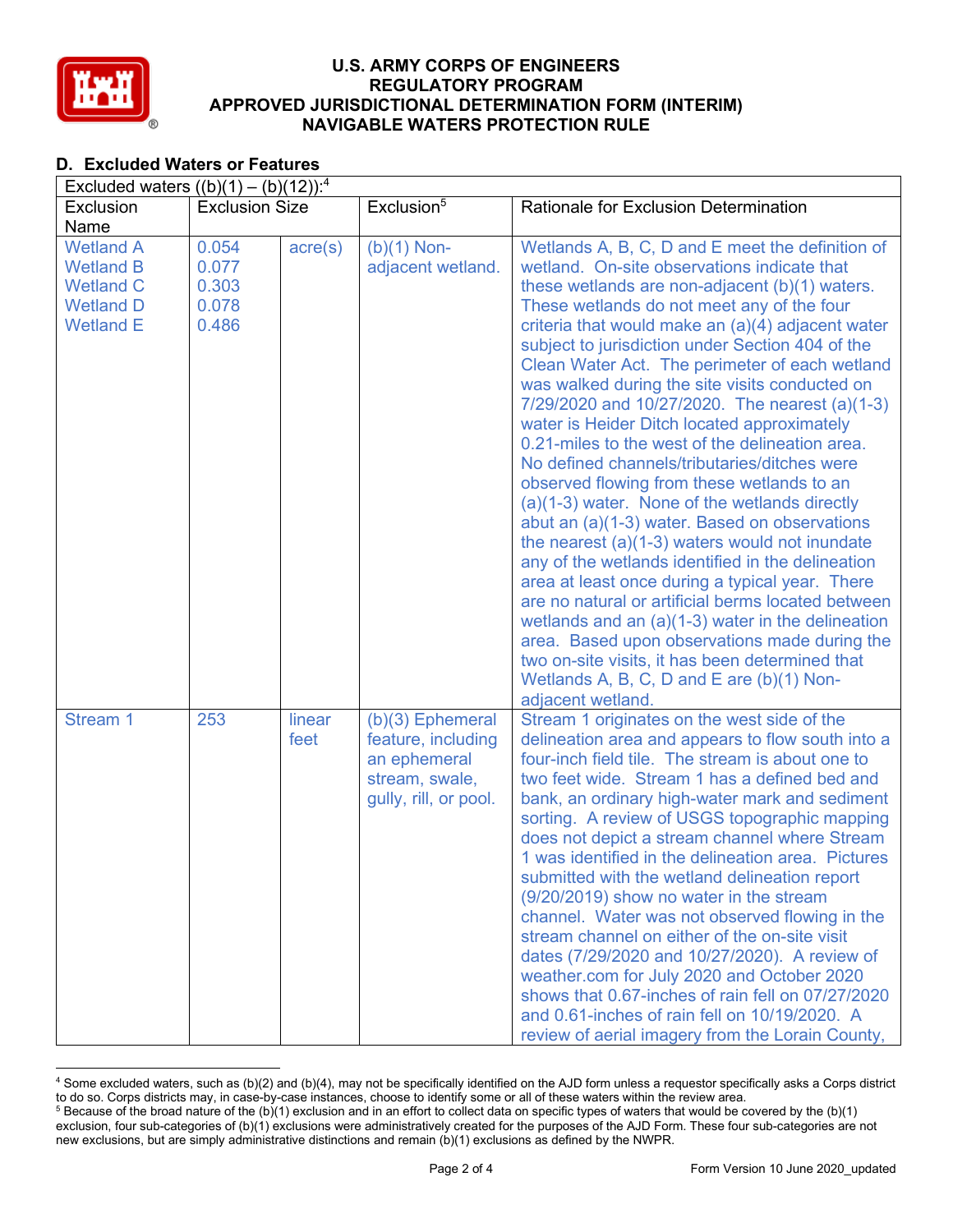

# **D. Excluded Waters or Features**

| Excluded waters $((b)(1) - (b)(12))$ : <sup>4</sup>                                              |                                           |                  |                                                                                                     |                                                                                                                                                                                                                                                                                                                                                                                                                                                                                                                                                                                                                                                                                                                                                                                                                                                                                                                                                                                                                                                                                                                                                                                            |  |  |  |
|--------------------------------------------------------------------------------------------------|-------------------------------------------|------------------|-----------------------------------------------------------------------------------------------------|--------------------------------------------------------------------------------------------------------------------------------------------------------------------------------------------------------------------------------------------------------------------------------------------------------------------------------------------------------------------------------------------------------------------------------------------------------------------------------------------------------------------------------------------------------------------------------------------------------------------------------------------------------------------------------------------------------------------------------------------------------------------------------------------------------------------------------------------------------------------------------------------------------------------------------------------------------------------------------------------------------------------------------------------------------------------------------------------------------------------------------------------------------------------------------------------|--|--|--|
| Exclusion                                                                                        | <b>Exclusion Size</b>                     |                  | Exclusion <sup>5</sup>                                                                              | <b>Rationale for Exclusion Determination</b>                                                                                                                                                                                                                                                                                                                                                                                                                                                                                                                                                                                                                                                                                                                                                                                                                                                                                                                                                                                                                                                                                                                                               |  |  |  |
| Name                                                                                             |                                           |                  |                                                                                                     |                                                                                                                                                                                                                                                                                                                                                                                                                                                                                                                                                                                                                                                                                                                                                                                                                                                                                                                                                                                                                                                                                                                                                                                            |  |  |  |
| <b>Wetland A</b><br><b>Wetland B</b><br><b>Wetland C</b><br><b>Wetland D</b><br><b>Wetland E</b> | 0.054<br>0.077<br>0.303<br>0.078<br>0.486 | $\text{acre}(s)$ | $(b)(1)$ Non-<br>adjacent wetland.                                                                  | Wetlands A, B, C, D and E meet the definition of<br>wetland. On-site observations indicate that<br>these wetlands are non-adjacent (b)(1) waters.<br>These wetlands do not meet any of the four<br>criteria that would make an (a)(4) adjacent water<br>subject to jurisdiction under Section 404 of the<br>Clean Water Act. The perimeter of each wetland<br>was walked during the site visits conducted on<br>7/29/2020 and 10/27/2020. The nearest (a)(1-3)<br>water is Heider Ditch located approximately<br>0.21-miles to the west of the delineation area.<br>No defined channels/tributaries/ditches were<br>observed flowing from these wetlands to an<br>(a)(1-3) water. None of the wetlands directly<br>abut an (a)(1-3) water. Based on observations<br>the nearest $(a)(1-3)$ waters would not inundate<br>any of the wetlands identified in the delineation<br>area at least once during a typical year. There<br>are no natural or artificial berms located between<br>wetlands and an $(a)(1-3)$ water in the delineation<br>area. Based upon observations made during the<br>two on-site visits, it has been determined that<br>Wetlands A, B, C, D and E are (b)(1) Non- |  |  |  |
| Stream 1                                                                                         | 253                                       | linear<br>feet   | $(b)(3)$ Ephemeral<br>feature, including<br>an ephemeral<br>stream, swale,<br>gully, rill, or pool. | adjacent wetland.<br>Stream 1 originates on the west side of the<br>delineation area and appears to flow south into a<br>four-inch field tile. The stream is about one to<br>two feet wide. Stream 1 has a defined bed and<br>bank, an ordinary high-water mark and sediment<br>sorting. A review of USGS topographic mapping<br>does not depict a stream channel where Stream<br>1 was identified in the delineation area. Pictures<br>submitted with the wetland delineation report<br>(9/20/2019) show no water in the stream<br>channel. Water was not observed flowing in the<br>stream channel on either of the on-site visit<br>dates (7/29/2020 and 10/27/2020). A review of<br>weather.com for July 2020 and October 2020<br>shows that 0.67-inches of rain fell on 07/27/2020<br>and 0.61-inches of rain fell on 10/19/2020. A<br>review of aerial imagery from the Lorain County,                                                                                                                                                                                                                                                                                               |  |  |  |

<sup>4</sup> Some excluded waters, such as (b)(2) and (b)(4), may not be specifically identified on the AJD form unless a requestor specifically asks a Corps district to do so. Corps districts may, in case-by-case instances, choose to identify some or all of these waters within the review area.  $5$  Because of the broad nature of the (b)(1) exclusion and in an effort to collect data on specific types of waters that would be covered by the (b)(1)

exclusion, four sub-categories of (b)(1) exclusions were administratively created for the purposes of the AJD Form. These four sub-categories are not new exclusions, but are simply administrative distinctions and remain (b)(1) exclusions as defined by the NWPR.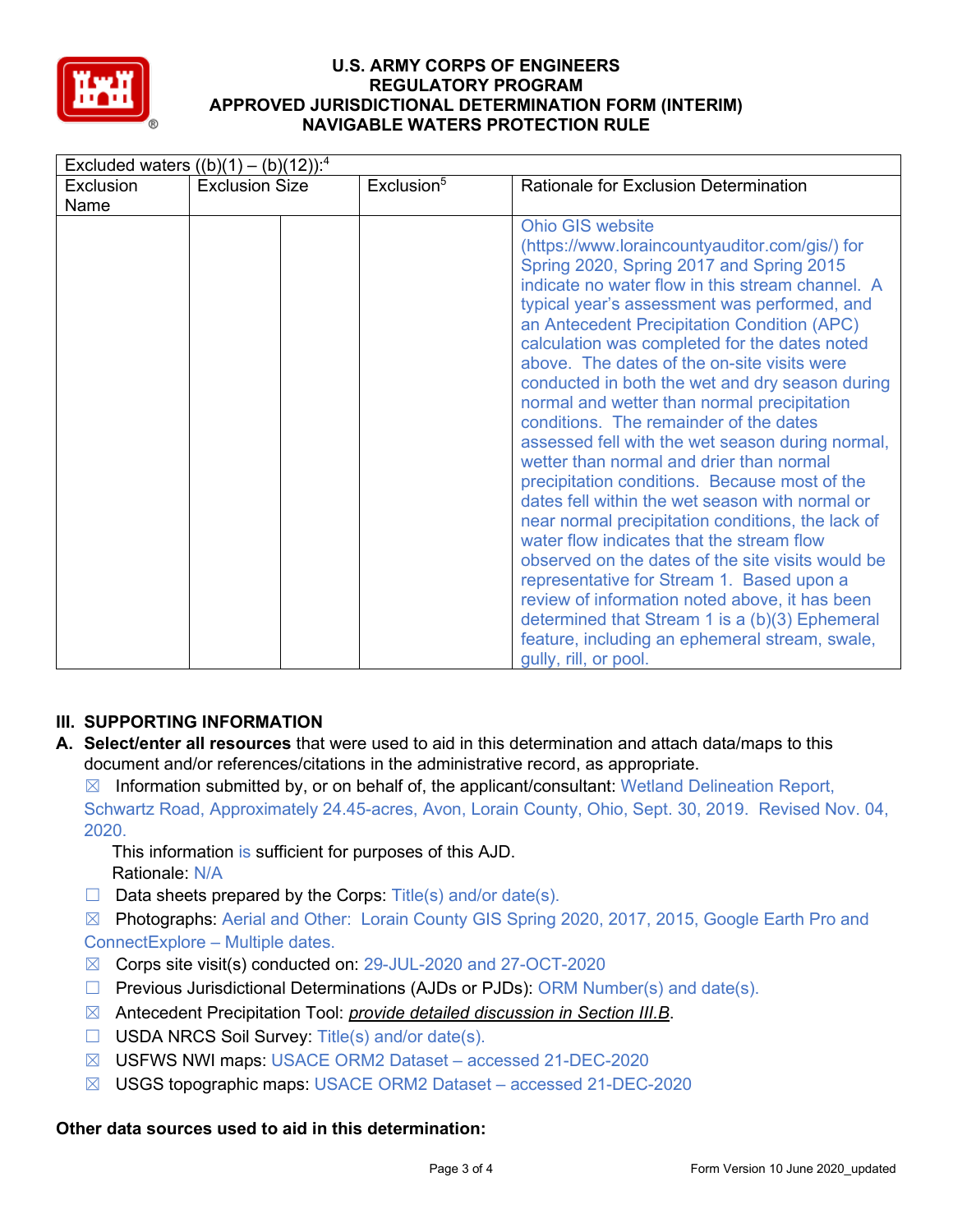

| Excluded waters $((b)(1) - (b)(12))$ : <sup>4</sup> |                       |                        |                                                                                                                                                                                                                                                                                                                                                                                                                                                                                                                                                                                                                                                                                                                                                                                                                                                                                                                                                                                                                                                                                                             |  |  |  |
|-----------------------------------------------------|-----------------------|------------------------|-------------------------------------------------------------------------------------------------------------------------------------------------------------------------------------------------------------------------------------------------------------------------------------------------------------------------------------------------------------------------------------------------------------------------------------------------------------------------------------------------------------------------------------------------------------------------------------------------------------------------------------------------------------------------------------------------------------------------------------------------------------------------------------------------------------------------------------------------------------------------------------------------------------------------------------------------------------------------------------------------------------------------------------------------------------------------------------------------------------|--|--|--|
| Exclusion                                           | <b>Exclusion Size</b> | Exclusion <sup>5</sup> | Rationale for Exclusion Determination                                                                                                                                                                                                                                                                                                                                                                                                                                                                                                                                                                                                                                                                                                                                                                                                                                                                                                                                                                                                                                                                       |  |  |  |
| Name                                                |                       |                        |                                                                                                                                                                                                                                                                                                                                                                                                                                                                                                                                                                                                                                                                                                                                                                                                                                                                                                                                                                                                                                                                                                             |  |  |  |
|                                                     |                       |                        | <b>Ohio GIS website</b><br>(https://www.loraincountyauditor.com/gis/) for<br>Spring 2020, Spring 2017 and Spring 2015<br>indicate no water flow in this stream channel. A<br>typical year's assessment was performed, and<br>an Antecedent Precipitation Condition (APC)<br>calculation was completed for the dates noted<br>above. The dates of the on-site visits were<br>conducted in both the wet and dry season during<br>normal and wetter than normal precipitation<br>conditions. The remainder of the dates<br>assessed fell with the wet season during normal,<br>wetter than normal and drier than normal<br>precipitation conditions. Because most of the<br>dates fell within the wet season with normal or<br>near normal precipitation conditions, the lack of<br>water flow indicates that the stream flow<br>observed on the dates of the site visits would be<br>representative for Stream 1. Based upon a<br>review of information noted above, it has been<br>determined that Stream 1 is a (b)(3) Ephemeral<br>feature, including an ephemeral stream, swale,<br>gully, rill, or pool. |  |  |  |

# **III. SUPPORTING INFORMATION**

**A. Select/enter all resources** that were used to aid in this determination and attach data/maps to this document and/or references/citations in the administrative record, as appropriate.

 $\boxtimes$  Information submitted by, or on behalf of, the applicant/consultant: Wetland Delineation Report, Schwartz Road, Approximately 24.45-acres, Avon, Lorain County, Ohio, Sept. 30, 2019. Revised Nov. 04, 2020.

This information is sufficient for purposes of this AJD. Rationale: N/A

 $\Box$  Data sheets prepared by the Corps: Title(s) and/or date(s).

☒ Photographs: Aerial and Other: Lorain County GIS Spring 2020, 2017, 2015, Google Earth Pro and ConnectExplore – Multiple dates.

- ☒ Corps site visit(s) conducted on: 29-JUL-2020 and 27-OCT-2020
- $\Box$  Previous Jurisdictional Determinations (AJDs or PJDs): ORM Number(s) and date(s).
- ☒ Antecedent Precipitation Tool: *provide detailed discussion in Section III.B*.
- ☐ USDA NRCS Soil Survey: Title(s) and/or date(s).
- ☒ USFWS NWI maps: USACE ORM2 Dataset accessed 21-DEC-2020
- ☒ USGS topographic maps: USACE ORM2 Dataset accessed 21-DEC-2020

## **Other data sources used to aid in this determination:**